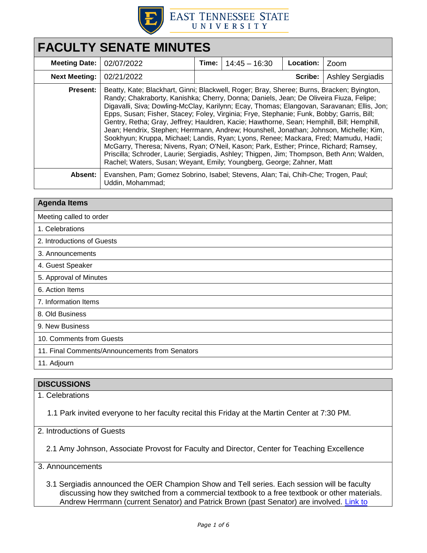

# **FACULTY SENATE MINUTES Meeting Date:** 02/07/2022 **Time:** 14:45 – 16:30 **Location:** Zoom **Next Meeting:**  $\vert$  02/21/2022  $\vert$  **Scribe:** Ashley Sergiadis **Present:** Beatty, Kate; Blackhart, Ginni; Blackwell, Roger; Bray, Sheree; Burns, Bracken; Byington, Randy; Chakraborty, Kanishka; Cherry, Donna; Daniels, Jean; De Oliveira Fiuza, Felipe; Digavalli, Siva; Dowling-McClay, Karilynn; Ecay, Thomas; Elangovan, Saravanan; Ellis, Jon; Epps, Susan; Fisher, Stacey; Foley, Virginia; Frye, Stephanie; Funk, Bobby; Garris, Bill; Gentry, Retha; Gray, Jeffrey; Hauldren, Kacie; Hawthorne, Sean; Hemphill, Bill; Hemphill, Jean; Hendrix, Stephen; Herrmann, Andrew; Hounshell, Jonathan; Johnson, Michelle; Kim, Sookhyun; Kruppa, Michael; Landis, Ryan; Lyons, Renee; Mackara, Fred; Mamudu, Hadii; McGarry, Theresa; Nivens, Ryan; O'Neil, Kason; Park, Esther; Prince, Richard; Ramsey, Priscilla; Schroder, Laurie; Sergiadis, Ashley; Thigpen, Jim; Thompson, Beth Ann; Walden, Rachel; Waters, Susan; Weyant, Emily; Youngberg, George; Zahner, Matt **Absent:** Evanshen, Pam; Gomez Sobrino, Isabel; Stevens, Alan; Tai, Chih-Che; Trogen, Paul; Uddin, Mohammad;

### **Agenda Items**

Meeting called to order

- 1. Celebrations
- 2. Introductions of Guests
- 3. Announcements
- 4. Guest Speaker
- 5. Approval of Minutes
- 6. Action Items

7. Information Items

8. Old Business

9. New Business

10. Comments from Guests

11. Final Comments/Announcements from Senators

11. Adjourn

## **DISCUSSIONS**

1. Celebrations

1.1 Park invited everyone to her faculty recital this Friday at the Martin Center at 7:30 PM.

2. Introductions of Guests

2.1 Amy Johnson, Associate Provost for Faculty and Director, Center for Teaching Excellence

3. Announcements

3.1 Sergiadis announced the OER Champion Show and Tell series. Each session will be faculty discussing how they switched from a commercial textbook to a free textbook or other materials. Andrew Herrmann (current Senator) and Patrick Brown (past Senator) are involved. [Link to](https://forms.office.com/Pages/ResponsePage.aspx?id=1UEkllVQSUO607rsQ8PXQVVdQO2GwbBCqX3pxhMOUJRUQlE0RDQwUjRFM1NIUkZGNUIyVjBTQ1JEUy4u)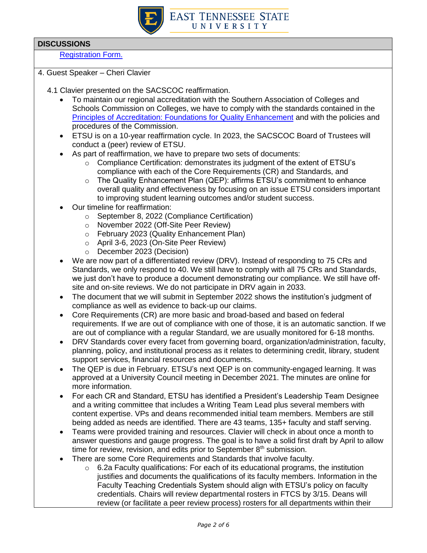

[Registration Form.](https://forms.office.com/Pages/ResponsePage.aspx?id=1UEkllVQSUO607rsQ8PXQVVdQO2GwbBCqX3pxhMOUJRUQlE0RDQwUjRFM1NIUkZGNUIyVjBTQ1JEUy4u) 

- 4. Guest Speaker Cheri Clavier
	- 4.1 Clavier presented on the SACSCOC reaffirmation.
		- To maintain our regional accreditation with the Southern Association of Colleges and Schools Commission on Colleges, we have to comply with the standards contained in the [Principles of Accreditation: Foundations for Quality Enhancement](https://sacscoc.org/accrediting-standards/) and with the policies and procedures of the Commission.
		- ETSU is on a 10-year reaffirmation cycle. In 2023, the SACSCOC Board of Trustees will conduct a (peer) review of ETSU.
		- As part of reaffirmation, we have to prepare two sets of documents:
			- $\circ$  Compliance Certification: demonstrates its judgment of the extent of ETSU's compliance with each of the Core Requirements (CR) and Standards, and
			- o The Quality Enhancement Plan (QEP): affirms ETSU's commitment to enhance overall quality and effectiveness by focusing on an issue ETSU considers important to improving student learning outcomes and/or student success.
		- Our timeline for reaffirmation:
			- o September 8, 2022 (Compliance Certification)
			- o November 2022 (Off-Site Peer Review)
			- o February 2023 (Quality Enhancement Plan)
			- o April 3-6, 2023 (On-Site Peer Review)
			- o December 2023 (Decision)
		- We are now part of a differentiated review (DRV). Instead of responding to 75 CRs and Standards, we only respond to 40. We still have to comply with all 75 CRs and Standards, we just don't have to produce a document demonstrating our compliance. We still have offsite and on-site reviews. We do not participate in DRV again in 2033.
		- The document that we will submit in September 2022 shows the institution's judgment of compliance as well as evidence to back-up our claims.
		- Core Requirements (CR) are more basic and broad-based and based on federal requirements. If we are out of compliance with one of those, it is an automatic sanction. If we are out of compliance with a regular Standard, we are usually monitored for 6-18 months.
		- DRV Standards cover every facet from governing board, organization/administration, faculty, planning, policy, and institutional process as it relates to determining credit, library, student support services, financial resources and documents.
		- The QEP is due in February. ETSU's next QEP is on community-engaged learning. It was approved at a University Council meeting in December 2021. The minutes are online for more information.
		- For each CR and Standard, ETSU has identified a President's Leadership Team Designee and a writing committee that includes a Writing Team Lead plus several members with content expertise. VPs and deans recommended initial team members. Members are still being added as needs are identified. There are 43 teams, 135+ faculty and staff serving.
		- Teams were provided training and resources. Clavier will check in about once a month to answer questions and gauge progress. The goal is to have a solid first draft by April to allow time for review, revision, and edits prior to September  $8<sup>th</sup>$  submission.
		- There are some Core Requirements and Standards that involve faculty.
			- $\circ$  6.2a Faculty qualifications: For each of its educational programs, the institution justifies and documents the qualifications of its faculty members. Information in the Faculty Teaching Credentials System should align with ETSU's policy on faculty credentials. Chairs will review departmental rosters in FTCS by 3/15. Deans will review (or facilitate a peer review process) rosters for all departments within their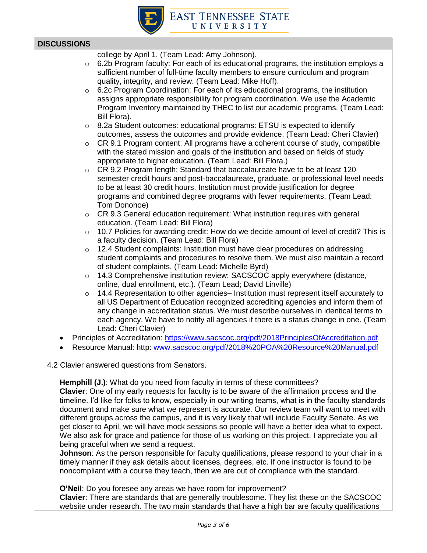

| college by April 1. (Team Lead: Amy Johnson). |
|-----------------------------------------------|
|                                               |

- $\circ$  6.2b Program faculty: For each of its educational programs, the institution employs a sufficient number of full-time faculty members to ensure curriculum and program quality, integrity, and review. (Team Lead: Mike Hoff).
- $\circ$  6.2c Program Coordination: For each of its educational programs, the institution assigns appropriate responsibility for program coordination. We use the Academic Program Inventory maintained by THEC to list our academic programs. (Team Lead: Bill Flora).
- $\circ$  8.2a Student outcomes: educational programs: ETSU is expected to identify outcomes, assess the outcomes and provide evidence. (Team Lead: Cheri Clavier)
- $\circ$  CR 9.1 Program content: All programs have a coherent course of study, compatible with the stated mission and goals of the institution and based on fields of study appropriate to higher education. (Team Lead: Bill Flora.)
- $\circ$  CR 9.2 Program length: Standard that baccalaureate have to be at least 120 semester credit hours and post-baccalaureate, graduate, or professional level needs to be at least 30 credit hours. Institution must provide justification for degree programs and combined degree programs with fewer requirements. (Team Lead: Tom Donohoe)
- $\circ$  CR 9.3 General education requirement: What institution requires with general education. (Team Lead: Bill Flora)
- o 10.7 Policies for awarding credit: How do we decide amount of level of credit? This is a faculty decision. (Team Lead: Bill Flora)
- $\circ$  12.4 Student complaints: Institution must have clear procedures on addressing student complaints and procedures to resolve them. We must also maintain a record of student complaints. (Team Lead: Michelle Byrd)
- $\circ$  14.3 Comprehensive institution review: SACSCOC apply everywhere (distance, online, dual enrollment, etc.). (Team Lead; David Linville)
- $\circ$  14.4 Representation to other agencies– Institution must represent itself accurately to all US Department of Education recognized accrediting agencies and inform them of any change in accreditation status. We must describe ourselves in identical terms to each agency. We have to notify all agencies if there is a status change in one. (Team Lead: Cheri Clavier)
- Principles of Accreditation:<https://www.sacscoc.org/pdf/2018PrinciplesOfAccreditation.pdf>
- Resource Manual: http: [www.sacscoc.org/pdf/2018%20POA%20Resource%20Manual.pdf](http://www.sacscoc.org/pdf/2018%20POA%20Resource%20Manual.pdf)
- 4.2 Clavier answered questions from Senators.

**Hemphill (J.)**: What do you need from faculty in terms of these committees?

**Clavier**: One of my early requests for faculty is to be aware of the affirmation process and the timeline. I'd like for folks to know, especially in our writing teams, what is in the faculty standards document and make sure what we represent is accurate. Our review team will want to meet with different groups across the campus, and it is very likely that will include Faculty Senate. As we get closer to April, we will have mock sessions so people will have a better idea what to expect. We also ask for grace and patience for those of us working on this project. I appreciate you all being graceful when we send a request.

**Johnson**: As the person responsible for faculty qualifications, please respond to your chair in a timely manner if they ask details about licenses, degrees, etc. If one instructor is found to be noncompliant with a course they teach, then we are out of compliance with the standard.

**O'Neil**: Do you foresee any areas we have room for improvement?

**Clavier**: There are standards that are generally troublesome. They list these on the SACSCOC website under research. The two main standards that have a high bar are faculty qualifications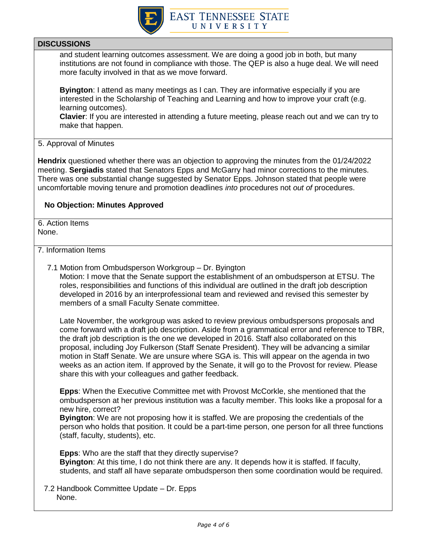

and student learning outcomes assessment. We are doing a good job in both, but many institutions are not found in compliance with those. The QEP is also a huge deal. We will need more faculty involved in that as we move forward.

**Byington**: I attend as many meetings as I can. They are informative especially if you are interested in the Scholarship of Teaching and Learning and how to improve your craft (e.g. learning outcomes).

**Clavier**: If you are interested in attending a future meeting, please reach out and we can try to make that happen.

5. Approval of Minutes

**Hendrix** questioned whether there was an objection to approving the minutes from the 01/24/2022 meeting. **Sergiadis** stated that Senators Epps and McGarry had minor corrections to the minutes. There was one substantial change suggested by Senator Epps. Johnson stated that people were uncomfortable moving tenure and promotion deadlines *into* procedures not *out of* procedures.

## **No Objection: Minutes Approved**

6. Action Items None.

### 7. Information Items

7.1 Motion from Ombudsperson Workgroup – Dr. Byington Motion: I move that the Senate support the establishment of an ombudsperson at ETSU. The roles, responsibilities and functions of this individual are outlined in the draft job description developed in 2016 by an interprofessional team and reviewed and revised this semester by members of a small Faculty Senate committee.

Late November, the workgroup was asked to review previous ombudspersons proposals and come forward with a draft job description. Aside from a grammatical error and reference to TBR, the draft job description is the one we developed in 2016. Staff also collaborated on this proposal, including Joy Fulkerson (Staff Senate President). They will be advancing a similar motion in Staff Senate. We are unsure where SGA is. This will appear on the agenda in two weeks as an action item. If approved by the Senate, it will go to the Provost for review. Please share this with your colleagues and gather feedback.

**Epps**: When the Executive Committee met with Provost McCorkle, she mentioned that the ombudsperson at her previous institution was a faculty member. This looks like a proposal for a new hire, correct?

**Byington**: We are not proposing how it is staffed. We are proposing the credentials of the person who holds that position. It could be a part-time person, one person for all three functions (staff, faculty, students), etc.

**Epps**: Who are the staff that they directly supervise? **Byington**: At this time, I do not think there are any. It depends how it is staffed. If faculty, students, and staff all have separate ombudsperson then some coordination would be required.

7.2 Handbook Committee Update – Dr. Epps None.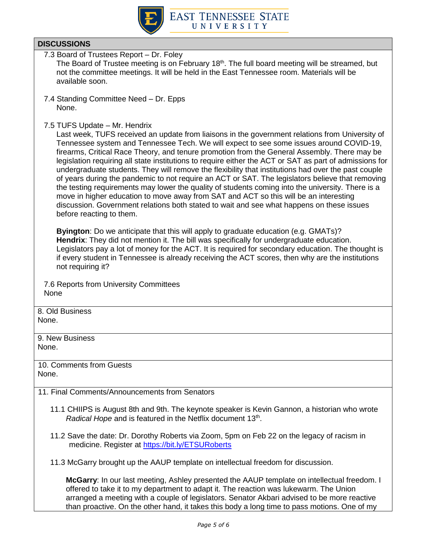

7.3 Board of Trustees Report – Dr. Foley The Board of Trustee meeting is on February 18<sup>th</sup>. The full board meeting will be streamed, but not the committee meetings. It will be held in the East Tennessee room. Materials will be available soon.

- 7.4 Standing Committee Need Dr. Epps None.
- 7.5 TUFS Update Mr. Hendrix

Last week, TUFS received an update from liaisons in the government relations from University of Tennessee system and Tennessee Tech. We will expect to see some issues around COVID-19, firearms, Critical Race Theory, and tenure promotion from the General Assembly. There may be legislation requiring all state institutions to require either the ACT or SAT as part of admissions for undergraduate students. They will remove the flexibility that institutions had over the past couple of years during the pandemic to not require an ACT or SAT. The legislators believe that removing the testing requirements may lower the quality of students coming into the university. There is a move in higher education to move away from SAT and ACT so this will be an interesting discussion. Government relations both stated to wait and see what happens on these issues before reacting to them.

**Byington**: Do we anticipate that this will apply to graduate education (e.g. GMATs)? **Hendrix**: They did not mention it. The bill was specifically for undergraduate education. Legislators pay a lot of money for the ACT. It is required for secondary education. The thought is if every student in Tennessee is already receiving the ACT scores, then why are the institutions not requiring it?

7.6 Reports from University Committees None

8. Old Business None.

9. New Business None.

10. Comments from Guests None.

- 11. Final Comments/Announcements from Senators
	- 11.1 CHIIPS is August 8th and 9th. The keynote speaker is Kevin Gannon, a historian who wrote Radical Hope and is featured in the Netflix document 13<sup>th</sup>.
	- 11.2 Save the date: Dr. Dorothy Roberts via Zoom, 5pm on Feb 22 on the legacy of racism in medicine. Register at<https://bit.ly/ETSURoberts>
	- 11.3 McGarry brought up the AAUP template on intellectual freedom for discussion.

**McGarry**: In our last meeting, Ashley presented the AAUP template on intellectual freedom. I offered to take it to my department to adapt it. The reaction was lukewarm. The Union arranged a meeting with a couple of legislators. Senator Akbari advised to be more reactive than proactive. On the other hand, it takes this body a long time to pass motions. One of my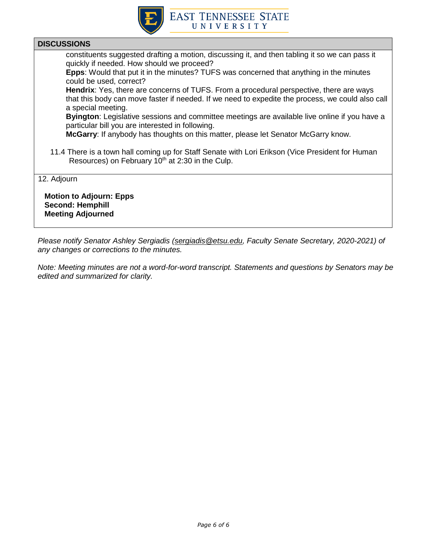

constituents suggested drafting a motion, discussing it, and then tabling it so we can pass it quickly if needed. How should we proceed?

**Epps**: Would that put it in the minutes? TUFS was concerned that anything in the minutes could be used, correct?

**Hendrix**: Yes, there are concerns of TUFS. From a procedural perspective, there are ways that this body can move faster if needed. If we need to expedite the process, we could also call a special meeting.

**Byington**: Legislative sessions and committee meetings are available live online if you have a particular bill you are interested in following.

**McGarry**: If anybody has thoughts on this matter, please let Senator McGarry know.

11.4 There is a town hall coming up for Staff Senate with Lori Erikson (Vice President for Human Resources) on February  $10<sup>th</sup>$  at 2:30 in the Culp.

12. Adjourn

 **Motion to Adjourn: Epps Second: Hemphill Meeting Adjourned**

*Please notify Senator Ashley Sergiadis [\(sergiadis@etsu.edu,](mailto:sergiadis@etsu.edu) Faculty Senate Secretary, 2020-2021) of any changes or corrections to the minutes.* 

*Note: Meeting minutes are not a word-for-word transcript. Statements and questions by Senators may be edited and summarized for clarity.*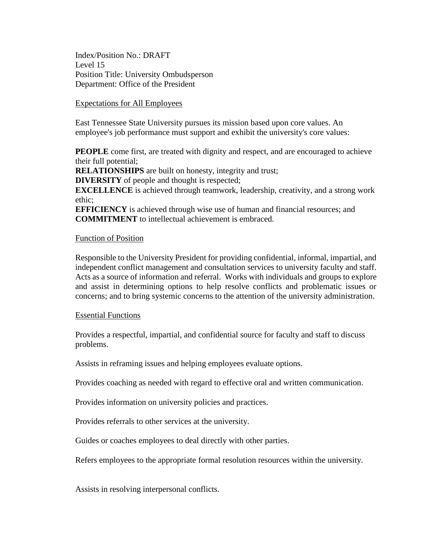Index/Position No.: DRAFT Level 15 Position Title: University Ombudsperson Department: Office of the President

### Expectations for All Employees

East Tennessee State University pursues its mission based upon core values. An employee's job performance must support and exhibit the university's core values:

**PEOPLE** come first, are treated with dignity and respect, and are encouraged to achieve their full potential;

**RELATIONSHIPS** are built on honesty, integrity and trust;

**DIVERSITY** of people and thought is respected;

**EXCELLENCE** is achieved through teamwork, leadership, creativity, and a strong work ethic;

**EFFICIENCY** is achieved through wise use of human and financial resources; and **COMMITMENT** to intellectual achievement is embraced.

## Function of Position

Responsible to the University President for providing confidential, informal, impartial, and independent conflict management and consultation services to university faculty and staff. Acts as a source of information and referral. Works with individuals and groups to explore and assist in determining options to help resolve conflicts and problematic issues or concerns; and to bring systemic concerns to the attention of the university administration.

### Essential Functions

Provides a respectful, impartial, and confidential source for faculty and staff to discuss problems.

Assists in reframing issues and helping employees evaluate options.

Provides coaching as needed with regard to effective oral and written communication.

Provides information on university policies and practices.

Provides referrals to other services at the university.

Guides or coaches employees to deal directly with other parties.

Refers employees to the appropriate formal resolution resources within the university.

Assists in resolving interpersonal conflicts.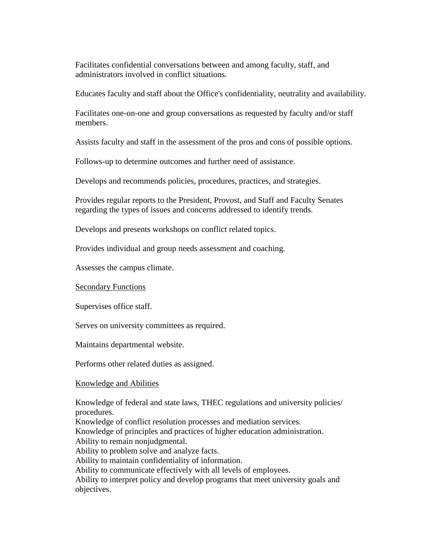Facilitates confidential conversations between and among faculty, staff, and administrators involved in conflict situations.

Educates faculty and staff about the Office's confidentiality, neutrality and availability.

Facilitates one-on-one and group conversations as requested by faculty and/or staff members.

Assists faculty and staff in the assessment of the pros and cons of possible options.

Follows-up to determine outcomes and further need of assistance.

Develops and recommends policies, procedures, practices, and strategies.

Provides regular reports to the President, Provost, and Staff and Faculty Senates regarding the types of issues and concerns addressed to identify trends.

Develops and presents workshops on conflict related topics.

Provides individual and group needs assessment and coaching.

Assesses the campus climate.

Secondary Functions

Supervises office staff.

Serves on university committees as required.

Maintains departmental website.

Performs other related duties as assigned.

### Knowledge and Abilities

Knowledge of federal and state laws, THEC regulations and university policies/ procedures. Knowledge of conflict resolution processes and mediation services. Knowledge of principles and practices of higher education administration. Ability to remain nonjudgmental. Ability to problem solve and analyze facts. Ability to maintain confidentiality of information. Ability to communicate effectively with all levels of employees. Ability to interpret policy and develop programs that meet university goals and objectives.